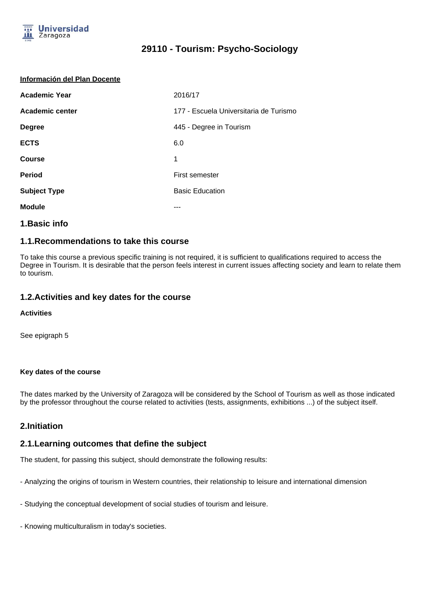

#### **Información del Plan Docente**

| <b>Academic Year</b> | 2016/17                                |
|----------------------|----------------------------------------|
| Academic center      | 177 - Escuela Universitaria de Turismo |
| <b>Degree</b>        | 445 - Degree in Tourism                |
| <b>ECTS</b>          | 6.0                                    |
| <b>Course</b>        | 1                                      |
| <b>Period</b>        | <b>First semester</b>                  |
| <b>Subject Type</b>  | <b>Basic Education</b>                 |
| <b>Module</b>        |                                        |

## **1.Basic info**

## **1.1.Recommendations to take this course**

To take this course a previous specific training is not required, it is sufficient to qualifications required to access the Degree in Tourism. It is desirable that the person feels interest in current issues affecting society and learn to relate them to tourism.

## **1.2.Activities and key dates for the course**

### **Activities**

See epigraph 5

### **Key dates of the course**

The dates marked by the University of Zaragoza will be considered by the School of Tourism as well as those indicated by the professor throughout the course related to activities (tests, assignments, exhibitions ...) of the subject itself.

## **2.Initiation**

## **2.1.Learning outcomes that define the subject**

The student, for passing this subject, should demonstrate the following results:

- Analyzing the origins of tourism in Western countries, their relationship to leisure and international dimension
- Studying the conceptual development of social studies of tourism and leisure.
- Knowing multiculturalism in today's societies.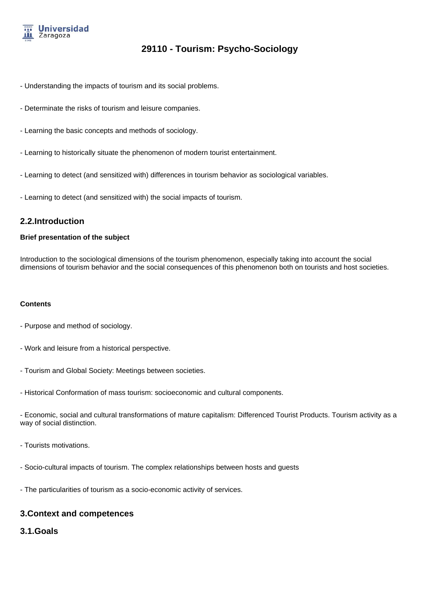

- Understanding the impacts of tourism and its social problems.
- Determinate the risks of tourism and leisure companies.
- Learning the basic concepts and methods of sociology.
- Learning to historically situate the phenomenon of modern tourist entertainment.
- Learning to detect (and sensitized with) differences in tourism behavior as sociological variables.
- Learning to detect (and sensitized with) the social impacts of tourism.

## **2.2.Introduction**

#### **Brief presentation of the subject**

Introduction to the sociological dimensions of the tourism phenomenon, especially taking into account the social dimensions of tourism behavior and the social consequences of this phenomenon both on tourists and host societies.

#### **Contents**

- Purpose and method of sociology.
- Work and leisure from a historical perspective.
- Tourism and Global Society: Meetings between societies.
- Historical Conformation of mass tourism: socioeconomic and cultural components.
- Economic, social and cultural transformations of mature capitalism: Differenced Tourist Products. Tourism activity as a way of social distinction.
- Tourists motivations.
- Socio-cultural impacts of tourism. The complex relationships between hosts and guests
- The particularities of tourism as a socio-economic activity of services.

## **3.Context and competences**

## **3.1.Goals**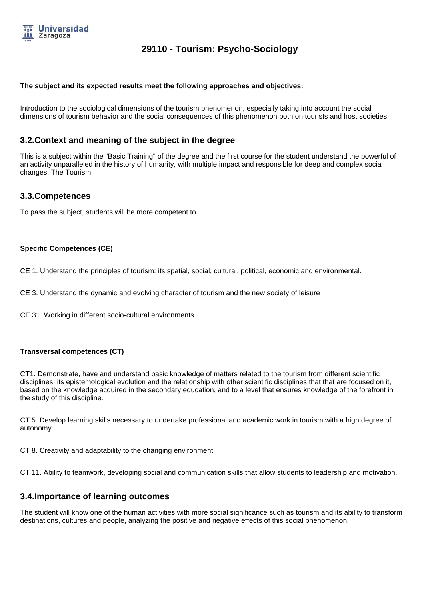

#### **The subject and its expected results meet the following approaches and objectives:**

Introduction to the sociological dimensions of the tourism phenomenon, especially taking into account the social dimensions of tourism behavior and the social consequences of this phenomenon both on tourists and host societies.

## **3.2.Context and meaning of the subject in the degree**

This is a subject within the "Basic Training" of the degree and the first course for the student understand the powerful of an activity unparalleled in the history of humanity, with multiple impact and responsible for deep and complex social changes: The Tourism.

## **3.3.Competences**

To pass the subject, students will be more competent to...

### **Specific Competences (CE)**

CE 1. Understand the principles of tourism: its spatial, social, cultural, political, economic and environmental.

CE 3. Understand the dynamic and evolving character of tourism and the new society of leisure

CE 31. Working in different socio-cultural environments.

### **Transversal competences (CT)**

CT1. Demonstrate, have and understand basic knowledge of matters related to the tourism from different scientific disciplines, its epistemological evolution and the relationship with other scientific disciplines that that are focused on it, based on the knowledge acquired in the secondary education, and to a level that ensures knowledge of the forefront in the study of this discipline.

CT 5. Develop learning skills necessary to undertake professional and academic work in tourism with a high degree of autonomy.

CT 8. Creativity and adaptability to the changing environment.

CT 11. Ability to teamwork, developing social and communication skills that allow students to leadership and motivation.

## **3.4.Importance of learning outcomes**

The student will know one of the human activities with more social significance such as tourism and its ability to transform destinations, cultures and people, analyzing the positive and negative effects of this social phenomenon.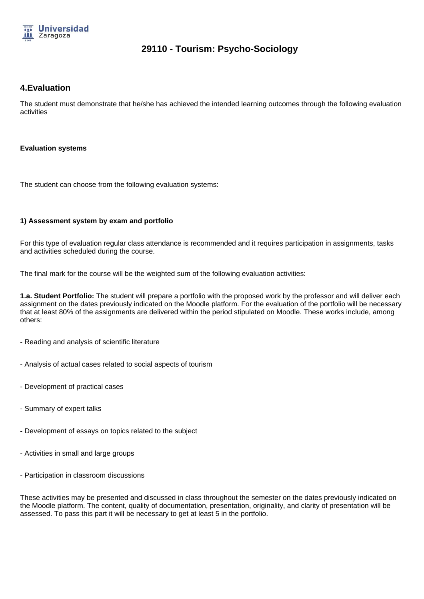

## **4.Evaluation**

The student must demonstrate that he/she has achieved the intended learning outcomes through the following evaluation activities

#### **Evaluation systems**

The student can choose from the following evaluation systems:

### **1) Assessment system by exam and portfolio**

For this type of evaluation regular class attendance is recommended and it requires participation in assignments, tasks and activities scheduled during the course.

The final mark for the course will be the weighted sum of the following evaluation activities:

**1.a. Student Portfolio:** The student will prepare a portfolio with the proposed work by the professor and will deliver each assignment on the dates previously indicated on the Moodle platform. For the evaluation of the portfolio will be necessary that at least 80% of the assignments are delivered within the period stipulated on Moodle. These works include, among others:

- Reading and analysis of scientific literature
- Analysis of actual cases related to social aspects of tourism
- Development of practical cases
- Summary of expert talks
- Development of essays on topics related to the subject
- Activities in small and large groups
- Participation in classroom discussions

These activities may be presented and discussed in class throughout the semester on the dates previously indicated on the Moodle platform. The content, quality of documentation, presentation, originality, and clarity of presentation will be assessed. To pass this part it will be necessary to get at least 5 in the portfolio.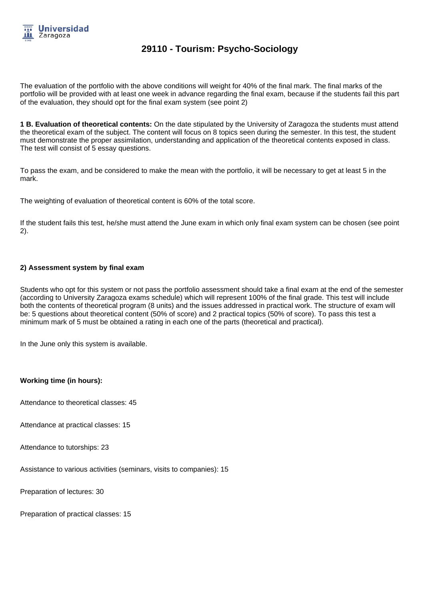

The evaluation of the portfolio with the above conditions will weight for 40% of the final mark. The final marks of the portfolio will be provided with at least one week in advance regarding the final exam, because if the students fail this part of the evaluation, they should opt for the final exam system (see point 2)

**1 B. Evaluation of theoretical contents:** On the date stipulated by the University of Zaragoza the students must attend the theoretical exam of the subject. The content will focus on 8 topics seen during the semester. In this test, the student must demonstrate the proper assimilation, understanding and application of the theoretical contents exposed in class. The test will consist of 5 essay questions.

To pass the exam, and be considered to make the mean with the portfolio, it will be necessary to get at least 5 in the mark.

The weighting of evaluation of theoretical content is 60% of the total score.

If the student fails this test, he/she must attend the June exam in which only final exam system can be chosen (see point 2).

#### **2) Assessment system by final exam**

Students who opt for this system or not pass the portfolio assessment should take a final exam at the end of the semester (according to University Zaragoza exams schedule) which will represent 100% of the final grade. This test will include both the contents of theoretical program (8 units) and the issues addressed in practical work. The structure of exam will be: 5 questions about theoretical content (50% of score) and 2 practical topics (50% of score). To pass this test a minimum mark of 5 must be obtained a rating in each one of the parts (theoretical and practical).

In the June only this system is available.

#### **Working time (in hours):**

Attendance to theoretical classes: 45

Attendance at practical classes: 15

Attendance to tutorships: 23

Assistance to various activities (seminars, visits to companies): 15

Preparation of lectures: 30

Preparation of practical classes: 15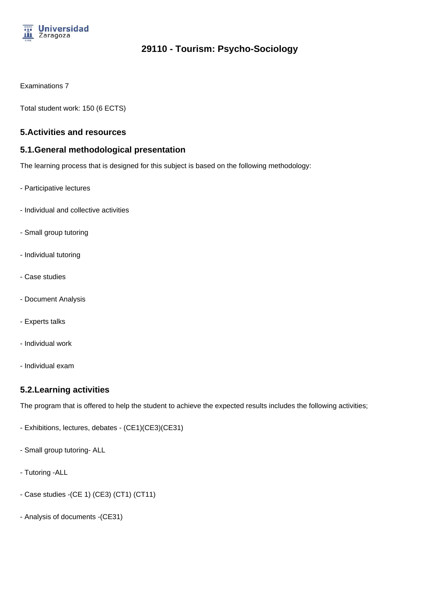

Examinations 7

Total student work: 150 (6 ECTS)

## **5.Activities and resources**

## **5.1.General methodological presentation**

The learning process that is designed for this subject is based on the following methodology:

- Participative lectures
- Individual and collective activities
- Small group tutoring
- Individual tutoring
- Case studies
- Document Analysis
- Experts talks
- Individual work
- Individual exam

## **5.2.Learning activities**

The program that is offered to help the student to achieve the expected results includes the following activities;

- Exhibitions, lectures, debates (CE1)(CE3)(CE31)
- Small group tutoring- ALL
- Tutoring -ALL
- Case studies -(CE 1) (CE3) (CT1) (CT11)
- Analysis of documents -(CE31)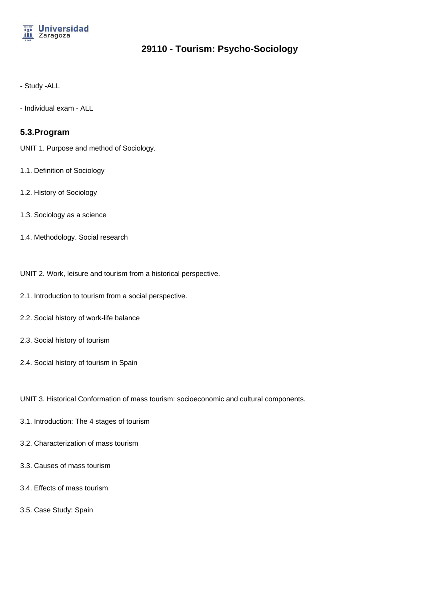

- Study -ALL

- Individual exam - ALL

## **5.3.Program**

UNIT 1. Purpose and method of Sociology.

- 1.1. Definition of Sociology
- 1.2. History of Sociology
- 1.3. Sociology as a science
- 1.4. Methodology. Social research
- UNIT 2. Work, leisure and tourism from a historical perspective.
- 2.1. Introduction to tourism from a social perspective.
- 2.2. Social history of work-life balance
- 2.3. Social history of tourism
- 2.4. Social history of tourism in Spain

UNIT 3. Historical Conformation of mass tourism: socioeconomic and cultural components.

- 3.1. Introduction: The 4 stages of tourism
- 3.2. Characterization of mass tourism
- 3.3. Causes of mass tourism
- 3.4. Effects of mass tourism
- 3.5. Case Study: Spain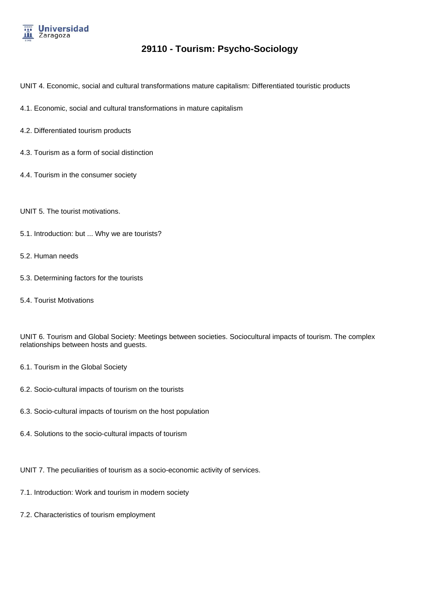

- UNIT 4. Economic, social and cultural transformations mature capitalism: Differentiated touristic products
- 4.1. Economic, social and cultural transformations in mature capitalism
- 4.2. Differentiated tourism products
- 4.3. Tourism as a form of social distinction
- 4.4. Tourism in the consumer society
- UNIT 5. The tourist motivations.
- 5.1. Introduction: but ... Why we are tourists?
- 5.2. Human needs
- 5.3. Determining factors for the tourists
- 5.4. Tourist Motivations

UNIT 6. Tourism and Global Society: Meetings between societies. Sociocultural impacts of tourism. The complex relationships between hosts and guests.

- 6.1. Tourism in the Global Society
- 6.2. Socio-cultural impacts of tourism on the tourists
- 6.3. Socio-cultural impacts of tourism on the host population
- 6.4. Solutions to the socio-cultural impacts of tourism
- UNIT 7. The peculiarities of tourism as a socio-economic activity of services.
- 7.1. Introduction: Work and tourism in modern society
- 7.2. Characteristics of tourism employment